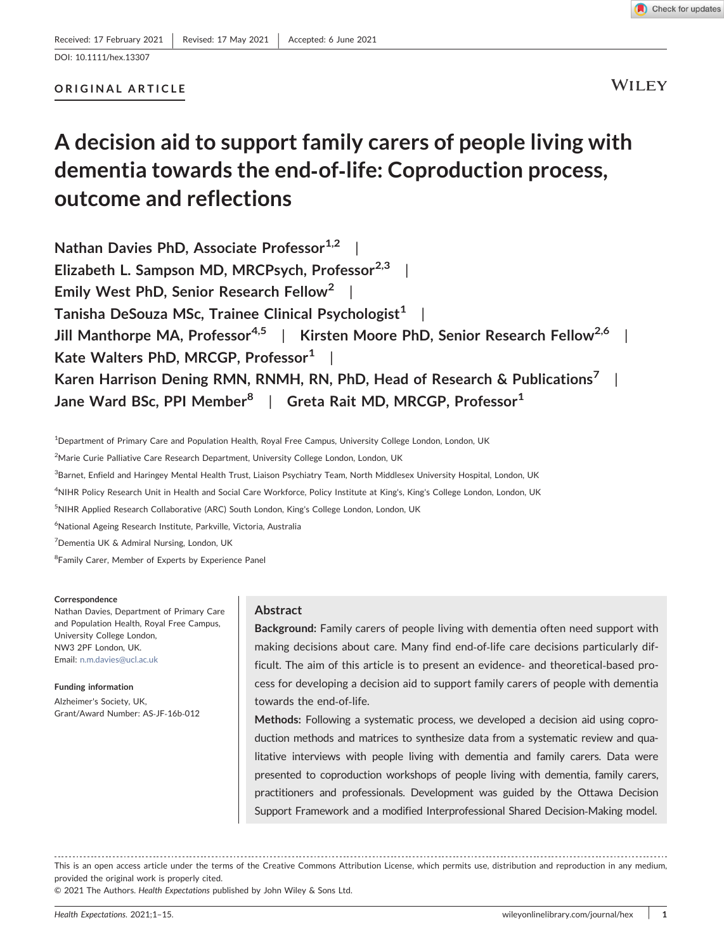# ORIGINAL ARTICLE

**WILEY** 

# A decision aid to support family carers of people living with dementia towards the end‐of‐life: Coproduction process, outcome and reflections

Nathan Davies PhD, Associate Professor<sup>1,2</sup> Elizabeth L. Sampson MD, MRCPsych, Professor $^{2,3}$  | Emily West PhD, Senior Research Fellow<sup>2</sup> | Tanisha DeSouza MSc, Trainee Clinical Psychologist<sup>1</sup> Jill Manthorpe MA, Professor<sup>4,5</sup> | Kirsten Moore PhD, Senior Research Fellow<sup>2,6</sup> Kate Walters PhD, MRCGP, Professor<sup>1</sup> | Karen Harrison Dening RMN, RNMH, RN, PhD, Head of Research & Publications<sup>7</sup> Jane Ward BSc, PPI Member<sup>8</sup> | Greta Rait MD, MRCGP, Professor<sup>1</sup>

<sup>1</sup>Department of Primary Care and Population Health, Royal Free Campus, University College London, London, UK

<sup>2</sup>Marie Curie Palliative Care Research Department, University College London, London, UK

<sup>3</sup>Barnet, Enfield and Haringey Mental Health Trust, Liaison Psychiatry Team, North Middlesex University Hospital, London, UK

4 NIHR Policy Research Unit in Health and Social Care Workforce, Policy Institute at King's, King's College London, London, UK

<sup>5</sup>NIHR Applied Research Collaborative (ARC) South London, King's College London, London, UK

6 National Ageing Research Institute, Parkville, Victoria, Australia

7 Dementia UK & Admiral Nursing, London, UK

<sup>8</sup> Family Carer, Member of Experts by Experience Panel

#### Correspondence

Nathan Davies, Department of Primary Care and Population Health, Royal Free Campus, University College London, NW3 2PF London, UK. Email: [n.m.davies@ucl.ac.uk](mailto:n.m.davies@ucl.ac.uk)

Funding information Alzheimer's Society, UK, Grant/Award Number: AS‐JF‐16b‐012

### Abstract

Background: Family carers of people living with dementia often need support with making decisions about care. Many find end-of-life care decisions particularly difficult. The aim of this article is to present an evidence‐ and theoretical‐based process for developing a decision aid to support family carers of people with dementia towards the end‐of‐life.

Methods: Following a systematic process, we developed a decision aid using coproduction methods and matrices to synthesize data from a systematic review and qualitative interviews with people living with dementia and family carers. Data were presented to coproduction workshops of people living with dementia, family carers, practitioners and professionals. Development was guided by the Ottawa Decision Support Framework and a modified Interprofessional Shared Decision‐Making model.

This is an open access article under the terms of the Creative Commons Attribution License, which permits use, distribution and reproduction in any medium, provided the original work is properly cited.

© 2021 The Authors. Health Expectations published by John Wiley & Sons Ltd.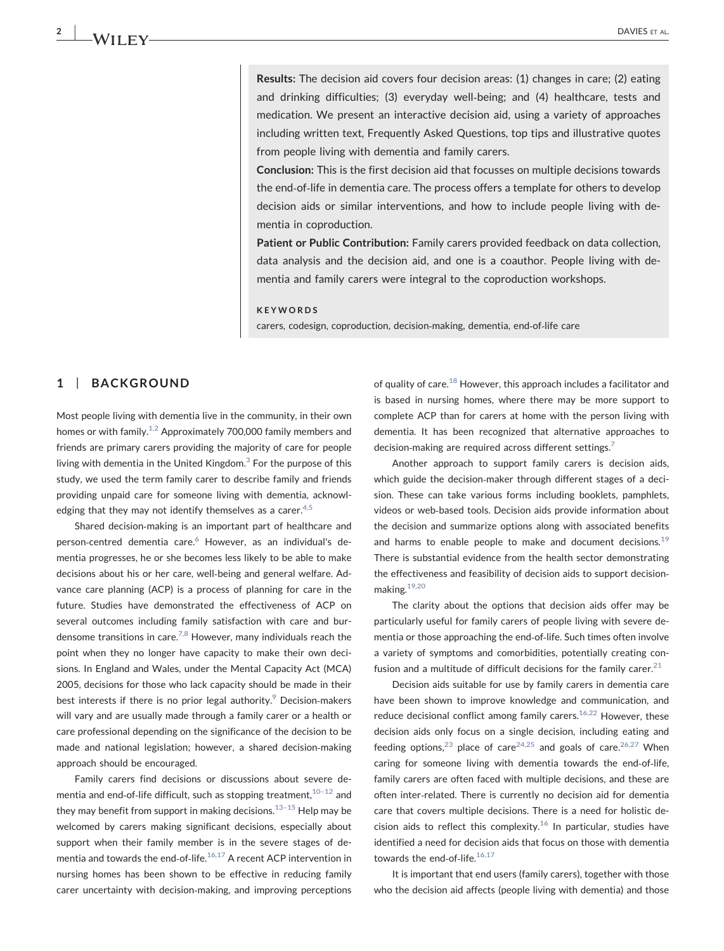Results: The decision aid covers four decision areas: (1) changes in care; (2) eating and drinking difficulties; (3) everyday well‐being; and (4) healthcare, tests and medication. We present an interactive decision aid, using a variety of approaches including written text, Frequently Asked Questions, top tips and illustrative quotes from people living with dementia and family carers.

Conclusion: This is the first decision aid that focusses on multiple decisions towards the end‐of‐life in dementia care. The process offers a template for others to develop decision aids or similar interventions, and how to include people living with dementia in coproduction.

Patient or Public Contribution: Family carers provided feedback on data collection, data analysis and the decision aid, and one is a coauthor. People living with dementia and family carers were integral to the coproduction workshops.

#### KEYWORDS

carers, codesign, coproduction, decision‐making, dementia, end‐of‐life care

### 1 | BACKGROUND

Most people living with dementia live in the community, in their own homes or with family.<sup>1,2</sup> Approximately 700,000 family members and friends are primary carers providing the majority of care for people living with dementia in the United Kingdom. $3$  For the purpose of this study, we used the term family carer to describe family and friends providing unpaid care for someone living with dementia, acknowl-edging that they may not identify themselves as a carer.<sup>[4,5](#page-11-2)</sup>

Shared decision‐making is an important part of healthcare and person-centred dementia care.<sup>6</sup> However, as an individual's dementia progresses, he or she becomes less likely to be able to make decisions about his or her care, well‐being and general welfare. Advance care planning (ACP) is a process of planning for care in the future. Studies have demonstrated the effectiveness of ACP on several outcomes including family satisfaction with care and bur-densome transitions in care.<sup>[7,8](#page-11-4)</sup> However, many individuals reach the point when they no longer have capacity to make their own decisions. In England and Wales, under the Mental Capacity Act (MCA) 2005, decisions for those who lack capacity should be made in their best interests if there is no prior legal authority. $9$  Decision-makers will vary and are usually made through a family carer or a health or care professional depending on the significance of the decision to be made and national legislation; however, a shared decision‐making approach should be encouraged.

Family carers find decisions or discussions about severe dementia and end-of-life difficult, such as stopping treatment,  $10^{-12}$  $10^{-12}$  and they may benefit from support in making decisions. $13-15$  $13-15$  Help may be welcomed by carers making significant decisions, especially about support when their family member is in the severe stages of dementia and towards the end-of-life.<sup>16,17</sup> A recent ACP intervention in nursing homes has been shown to be effective in reducing family carer uncertainty with decision‐making, and improving perceptions of quality of care. $^{18}$  However, this approach includes a facilitator and is based in nursing homes, where there may be more support to complete ACP than for carers at home with the person living with dementia. It has been recognized that alternative approaches to decision-making are required across different settings.<sup>[7](#page-11-4)</sup>

Another approach to support family carers is decision aids, which guide the decision‐maker through different stages of a decision. These can take various forms including booklets, pamphlets, videos or web‐based tools. Decision aids provide information about the decision and summarize options along with associated benefits and harms to enable people to make and document decisions.<sup>[19](#page-12-1)</sup> There is substantial evidence from the health sector demonstrating the effectiveness and feasibility of decision aids to support decision‐ making.[19,20](#page-12-1)

The clarity about the options that decision aids offer may be particularly useful for family carers of people living with severe dementia or those approaching the end‐of‐life. Such times often involve a variety of symptoms and comorbidities, potentially creating confusion and a multitude of difficult decisions for the family carer. $21$ 

Decision aids suitable for use by family carers in dementia care have been shown to improve knowledge and communication, and reduce decisional conflict among family carers. $16,22$  However, these decision aids only focus on a single decision, including eating and feeding options,<sup>[23](#page-12-3)</sup> place of care<sup>[24,25](#page-12-4)</sup> and goals of care.<sup>26,27</sup> When caring for someone living with dementia towards the end‐of‐life, family carers are often faced with multiple decisions, and these are often inter‐related. There is currently no decision aid for dementia care that covers multiple decisions. There is a need for holistic decision aids to reflect this complexity.<sup>16</sup> In particular, studies have identified a need for decision aids that focus on those with dementia towards the end-of-life. $^{16,17}$  $^{16,17}$  $^{16,17}$ 

It is important that end users (family carers), together with those who the decision aid affects (people living with dementia) and those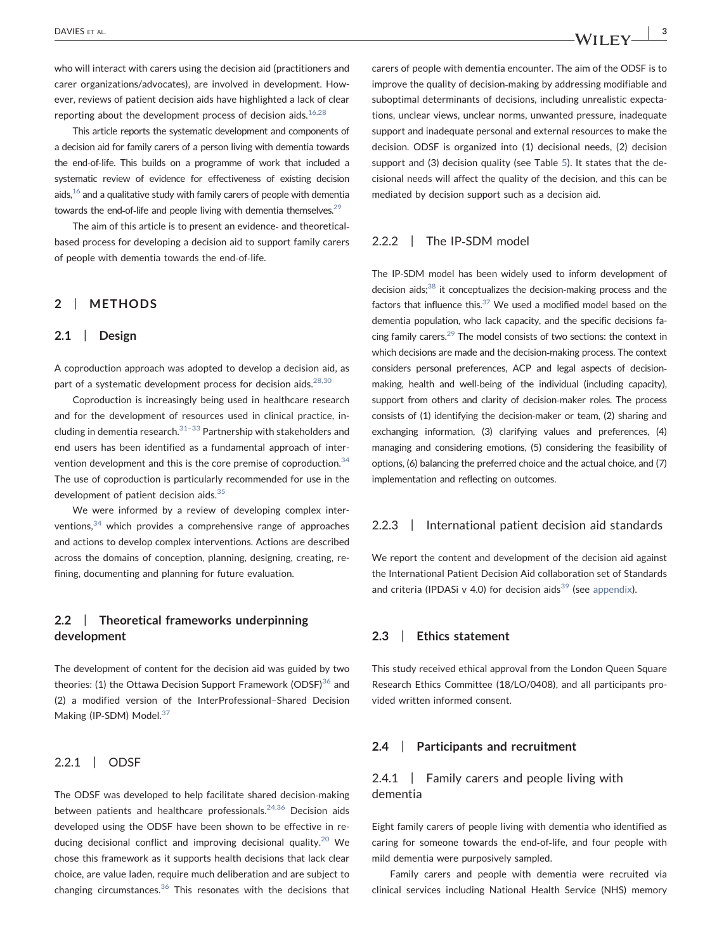who will interact with carers using the decision aid (practitioners and carer organizations/advocates), are involved in development. However, reviews of patient decision aids have highlighted a lack of clear reporting about the development process of decision aids. $16,28$ 

This article reports the systematic development and components of a decision aid for family carers of a person living with dementia towards the end‐of‐life. This builds on a programme of work that included a systematic review of evidence for effectiveness of existing decision aids, $16$  and a qualitative study with family carers of people with dementia towards the end-of-life and people living with dementia themselves.<sup>29</sup>

The aim of this article is to present an evidence- and theoreticalbased process for developing a decision aid to support family carers of people with dementia towards the end‐of‐life.

### 2 | METHODS

#### 2.1 | Design

A coproduction approach was adopted to develop a decision aid, as part of a systematic development process for decision aids. $^{28,30}$  $^{28,30}$  $^{28,30}$ 

Coproduction is increasingly being used in healthcare research and for the development of resources used in clinical practice, including in dementia research. $31-33$  Partnership with stakeholders and end users has been identified as a fundamental approach of inter-vention development and this is the core premise of coproduction.<sup>[34](#page-12-9)</sup> The use of coproduction is particularly recommended for use in the development of patient decision aids.<sup>[35](#page-12-10)</sup>

We were informed by a review of developing complex interventions,[34](#page-12-9) which provides a comprehensive range of approaches and actions to develop complex interventions. Actions are described across the domains of conception, planning, designing, creating, refining, documenting and planning for future evaluation.

### 2.2 | Theoretical frameworks underpinning development

The development of content for the decision aid was guided by two theories: (1) the Ottawa Decision Support Framework (ODSF) $36$  and (2) a modified version of the InterProfessional–Shared Decision Making (IP-SDM) Model.<sup>[37](#page-12-12)</sup>

### 2.2.1 | ODSF

The ODSF was developed to help facilitate shared decision-making between patients and healthcare professionals.<sup>24,36</sup> Decision aids developed using the ODSF have been shown to be effective in re-ducing decisional conflict and improving decisional quality.<sup>[20](#page-12-13)</sup> We chose this framework as it supports health decisions that lack clear choice, are value laden, require much deliberation and are subject to changing circumstances. $36$  This resonates with the decisions that carers of people with dementia encounter. The aim of the ODSF is to improve the quality of decision-making by addressing modifiable and suboptimal determinants of decisions, including unrealistic expectations, unclear views, unclear norms, unwanted pressure, inadequate support and inadequate personal and external resources to make the decision. ODSF is organized into (1) decisional needs, (2) decision support and (3) decision quality (see Table [5\)](#page-8-0). It states that the decisional needs will affect the quality of the decision, and this can be mediated by decision support such as a decision aid.

### 2.2.2 | The IP-SDM model

The IP‐SDM model has been widely used to inform development of decision aids;[38](#page-12-14) it conceptualizes the decision‐making process and the factors that influence this. $37$  We used a modified model based on the dementia population, who lack capacity, and the specific decisions facing family carers[.29](#page-12-6) The model consists of two sections: the context in which decisions are made and the decision-making process. The context considers personal preferences, ACP and legal aspects of decision‐ making, health and well‐being of the individual (including capacity), support from others and clarity of decision-maker roles. The process consists of (1) identifying the decision-maker or team, (2) sharing and exchanging information, (3) clarifying values and preferences, (4) managing and considering emotions, (5) considering the feasibility of options, (6) balancing the preferred choice and the actual choice, and (7) implementation and reflecting on outcomes.

### 2.2.3 | International patient decision aid standards

We report the content and development of the decision aid against the International Patient Decision Aid collaboration set of Standards and criteria (IPDASi v 4.0) for decision aids<sup>[39](#page-12-15)</sup> (see [appendix](#page-13-0)).

### 2.3 | Ethics statement

This study received ethical approval from the London Queen Square Research Ethics Committee (18/LO/0408), and all participants provided written informed consent.

### 2.4 | Participants and recruitment

### 2.4.1 | Family carers and people living with dementia

Eight family carers of people living with dementia who identified as caring for someone towards the end‐of‐life, and four people with mild dementia were purposively sampled.

Family carers and people with dementia were recruited via clinical services including National Health Service (NHS) memory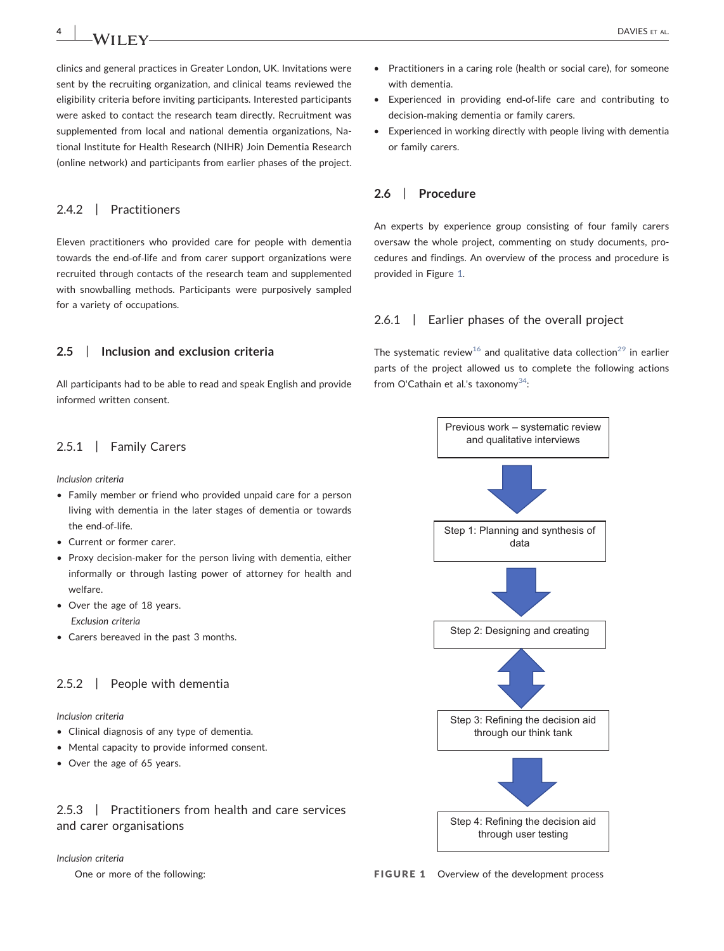clinics and general practices in Greater London, UK. Invitations were sent by the recruiting organization, and clinical teams reviewed the eligibility criteria before inviting participants. Interested participants were asked to contact the research team directly. Recruitment was supplemented from local and national dementia organizations, National Institute for Health Research (NIHR) Join Dementia Research (online network) and participants from earlier phases of the project.

### 2.4.2 | Practitioners

Eleven practitioners who provided care for people with dementia towards the end‐of‐life and from carer support organizations were recruited through contacts of the research team and supplemented with snowballing methods. Participants were purposively sampled for a variety of occupations.

### 2.5 | Inclusion and exclusion criteria

All participants had to be able to read and speak English and provide informed written consent.

### 2.5.1 | Family Carers

Inclusion criteria

- Family member or friend who provided unpaid care for a person living with dementia in the later stages of dementia or towards the end‐of‐life.
- Current or former carer.
- Proxy decision-maker for the person living with dementia, either informally or through lasting power of attorney for health and welfare.
- Over the age of 18 years. Exclusion criteria
- Carers bereaved in the past 3 months.

### 2.5.2 | People with dementia

Inclusion criteria

- Clinical diagnosis of any type of dementia.
- Mental capacity to provide informed consent.
- Over the age of 65 years.

2.5.3 | Practitioners from health and care services and carer organisations

#### Inclusion criteria

One or more of the following:

- Experienced in providing end‐of‐life care and contributing to decision‐making dementia or family carers.
- Experienced in working directly with people living with dementia or family carers.

### 2.6 | Procedure

An experts by experience group consisting of four family carers oversaw the whole project, commenting on study documents, procedures and findings. An overview of the process and procedure is provided in Figure [1.](#page-3-0)

### 2.6.1 | Earlier phases of the overall project

The systematic review<sup>[16](#page-11-8)</sup> and qualitative data collection<sup>[29](#page-12-6)</sup> in earlier parts of the project allowed us to complete the following actions from O'Cathain et al.'s taxonomy $^{34}$ :

<span id="page-3-0"></span>

FIGURE 1 Overview of the development process

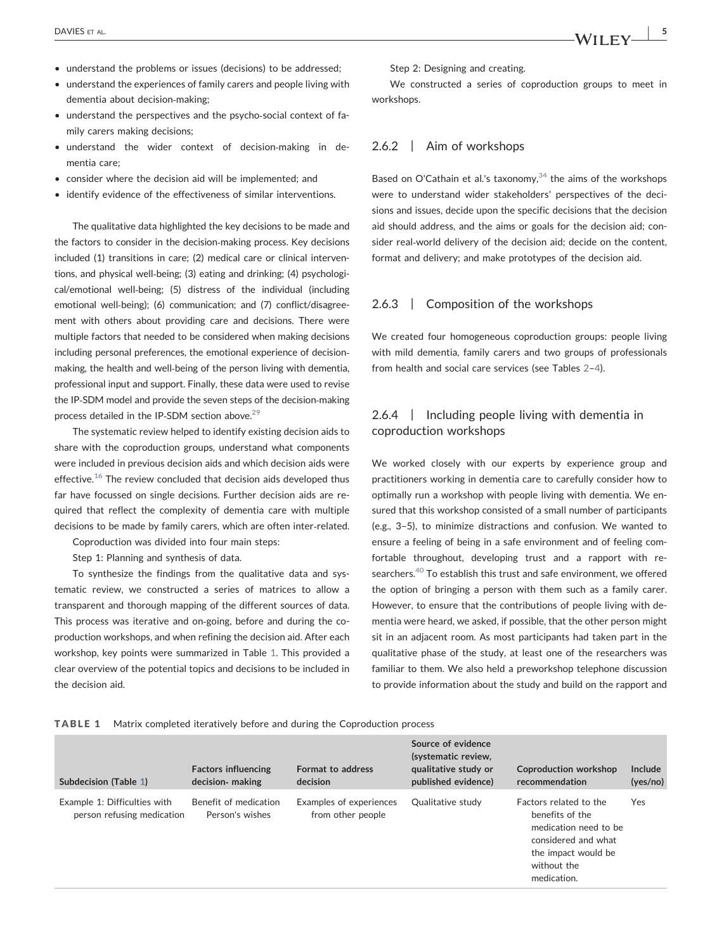- understand the problems or issues (decisions) to be addressed;
- understand the experiences of family carers and people living with dementia about decision‐making;
- understand the perspectives and the psycho‐social context of family carers making decisions;
- understand the wider context of decision‐making in dementia care;
- consider where the decision aid will be implemented; and
- identify evidence of the effectiveness of similar interventions.

The qualitative data highlighted the key decisions to be made and the factors to consider in the decision-making process. Key decisions included (1) transitions in care; (2) medical care or clinical interventions, and physical well‐being; (3) eating and drinking; (4) psychological/emotional well‐being; (5) distress of the individual (including emotional well-being); (6) communication; and (7) conflict/disagreement with others about providing care and decisions. There were multiple factors that needed to be considered when making decisions including personal preferences, the emotional experience of decisionmaking, the health and well-being of the person living with dementia, professional input and support. Finally, these data were used to revise the IP‐SDM model and provide the seven steps of the decision‐making process detailed in the IP-SDM section above.<sup>29</sup>

The systematic review helped to identify existing decision aids to share with the coproduction groups, understand what components were included in previous decision aids and which decision aids were effective. $16$  The review concluded that decision aids developed thus far have focussed on single decisions. Further decision aids are required that reflect the complexity of dementia care with multiple decisions to be made by family carers, which are often inter‐related.

Coproduction was divided into four main steps:

Step 1: Planning and synthesis of data.

To synthesize the findings from the qualitative data and systematic review, we constructed a series of matrices to allow a transparent and thorough mapping of the different sources of data. This process was iterative and on‐going, before and during the coproduction workshops, and when refining the decision aid. After each workshop, key points were summarized in Table [1](#page-4-0). This provided a clear overview of the potential topics and decisions to be included in the decision aid.

Step 2: Designing and creating.

We constructed a series of coproduction groups to meet in workshops.

### 2.6.2 | Aim of workshops

Based on O'Cathain et al.'s taxonomy, $34$  the aims of the workshops were to understand wider stakeholders' perspectives of the decisions and issues, decide upon the specific decisions that the decision aid should address, and the aims or goals for the decision aid; consider real-world delivery of the decision aid; decide on the content, format and delivery; and make prototypes of the decision aid.

### 2.6.3 Composition of the workshops

We created four homogeneous coproduction groups: people living with mild dementia, family carers and two groups of professionals from health and social care services (see Tables [2](#page-5-0)–[4\)](#page-5-1).

### 2.6.4 | Including people living with dementia in coproduction workshops

We worked closely with our experts by experience group and practitioners working in dementia care to carefully consider how to optimally run a workshop with people living with dementia. We ensured that this workshop consisted of a small number of participants (e.g., 3–5), to minimize distractions and confusion. We wanted to ensure a feeling of being in a safe environment and of feeling comfortable throughout, developing trust and a rapport with researchers.[40](#page-12-16) To establish this trust and safe environment, we offered the option of bringing a person with them such as a family carer. However, to ensure that the contributions of people living with dementia were heard, we asked, if possible, that the other person might sit in an adjacent room. As most participants had taken part in the qualitative phase of the study, at least one of the researchers was familiar to them. We also held a preworkshop telephone discussion to provide information about the study and build on the rapport and

#### <span id="page-4-0"></span>TABLE 1 Matrix completed iteratively before and during the Coproduction process

| Subdecision (Table 1)                                      | <b>Factors influencing</b><br>decision- making | Format to address<br>decision                | Source of evidence<br>(systematic review,<br>qualitative study or<br>published evidence) | Coproduction workshop<br>recommendation                                                                                                        | Include<br>(yes/no) |
|------------------------------------------------------------|------------------------------------------------|----------------------------------------------|------------------------------------------------------------------------------------------|------------------------------------------------------------------------------------------------------------------------------------------------|---------------------|
| Example 1: Difficulties with<br>person refusing medication | Benefit of medication<br>Person's wishes       | Examples of experiences<br>from other people | Qualitative study                                                                        | Eactors related to the<br>benefits of the<br>medication need to be<br>considered and what<br>the impact would be<br>without the<br>medication. | Yes                 |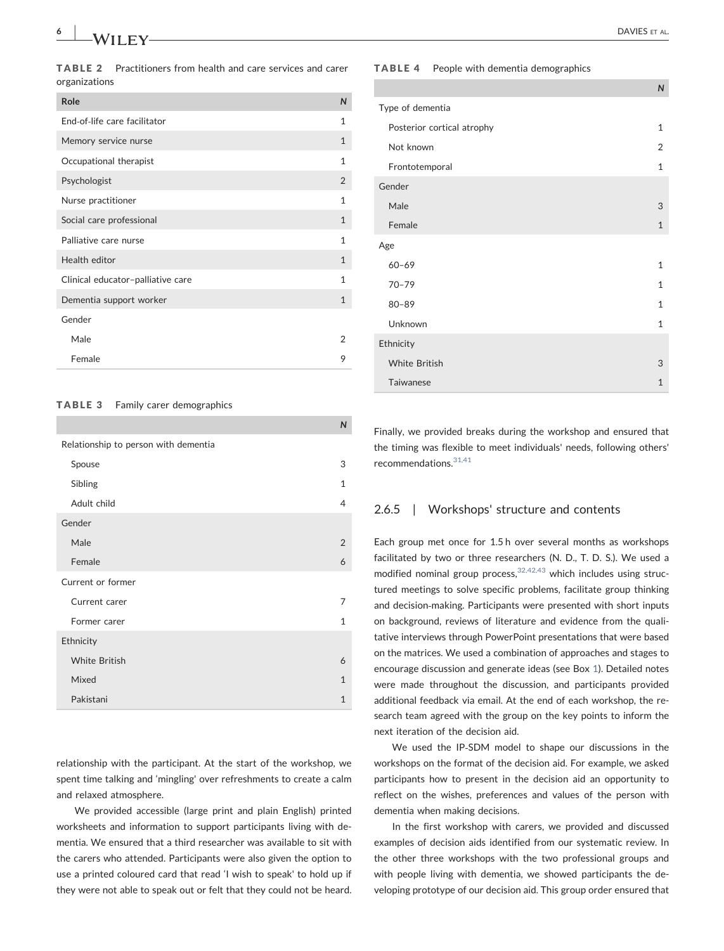<span id="page-5-0"></span>TABLE 2 Practitioners from health and care services and carer organizations

| End-of-life care facilitator<br>$\mathbf{1}$<br>$\mathbf{1}$<br>Memory service nurse<br>Occupational therapist<br>$\mathbf{1}$<br>Psychologist<br>2<br>1<br>Nurse practitioner<br>Social care professional<br>$\mathbf{1}$<br>Palliative care nurse<br>$\mathbf{1}$<br>Health editor<br>$\mathbf{1}$<br>1<br>Clinical educator-palliative care<br>$\mathbf{1}$<br>Dementia support worker<br>Gender<br>Male<br>2<br>Female<br>9 | Role | $\mathsf{N}$ |
|---------------------------------------------------------------------------------------------------------------------------------------------------------------------------------------------------------------------------------------------------------------------------------------------------------------------------------------------------------------------------------------------------------------------------------|------|--------------|
|                                                                                                                                                                                                                                                                                                                                                                                                                                 |      |              |
|                                                                                                                                                                                                                                                                                                                                                                                                                                 |      |              |
|                                                                                                                                                                                                                                                                                                                                                                                                                                 |      |              |
|                                                                                                                                                                                                                                                                                                                                                                                                                                 |      |              |
|                                                                                                                                                                                                                                                                                                                                                                                                                                 |      |              |
|                                                                                                                                                                                                                                                                                                                                                                                                                                 |      |              |
|                                                                                                                                                                                                                                                                                                                                                                                                                                 |      |              |
|                                                                                                                                                                                                                                                                                                                                                                                                                                 |      |              |
|                                                                                                                                                                                                                                                                                                                                                                                                                                 |      |              |
|                                                                                                                                                                                                                                                                                                                                                                                                                                 |      |              |
|                                                                                                                                                                                                                                                                                                                                                                                                                                 |      |              |
|                                                                                                                                                                                                                                                                                                                                                                                                                                 |      |              |
|                                                                                                                                                                                                                                                                                                                                                                                                                                 |      |              |

#### TABLE 3 Family carer demographics

|                                      | IV             |
|--------------------------------------|----------------|
| Relationship to person with dementia |                |
| Spouse                               | 3              |
| Sibling                              | $\mathbf{1}$   |
| Adult child                          | $\overline{4}$ |
| Gender                               |                |
| Male                                 | 2              |
| Female                               | 6              |
| Current or former                    |                |
| Current carer                        | 7              |
| Former carer                         | $\mathbf{1}$   |
| Ethnicity                            |                |
| <b>White British</b>                 | 6              |
| Mixed                                | $\mathbf{1}$   |
| Pakistani                            | $\mathbf{1}$   |

 $\overline{M}$ 

relationship with the participant. At the start of the workshop, we spent time talking and 'mingling' over refreshments to create a calm and relaxed atmosphere.

We provided accessible (large print and plain English) printed worksheets and information to support participants living with dementia. We ensured that a third researcher was available to sit with the carers who attended. Participants were also given the option to use a printed coloured card that read 'I wish to speak' to hold up if they were not able to speak out or felt that they could not be heard.

#### <span id="page-5-1"></span>TABLE 4 People with dementia demographics

|                            | $\mathsf{N}$ |
|----------------------------|--------------|
| Type of dementia           |              |
| Posterior cortical atrophy | $\mathbf{1}$ |
| Not known                  | 2            |
| Frontotemporal             | $\mathbf{1}$ |
| Gender                     |              |
| Male                       | 3            |
| Female                     | $\mathbf{1}$ |
| Age                        |              |
| $60 - 69$                  | $\mathbf{1}$ |
| $70 - 79$                  | $\mathbf{1}$ |
| $80 - 89$                  | $\mathbf{1}$ |
| Unknown                    | $\mathbf{1}$ |
| Ethnicity                  |              |
| <b>White British</b>       | 3            |
| Taiwanese                  | $\mathbf{1}$ |

Finally, we provided breaks during the workshop and ensured that the timing was flexible to meet individuals' needs, following others' recommendations.[31,41](#page-12-8)

#### 2.6.5 | Workshops' structure and contents

Each group met once for 1.5 h over several months as workshops facilitated by two or three researchers (N. D., T. D. S.). We used a modified nominal group process,  $32,42,43$  which includes using structured meetings to solve specific problems, facilitate group thinking and decision‐making. Participants were presented with short inputs on background, reviews of literature and evidence from the qualitative interviews through PowerPoint presentations that were based on the matrices. We used a combination of approaches and stages to encourage discussion and generate ideas (see Box [1](#page-6-0)). Detailed notes were made throughout the discussion, and participants provided additional feedback via email. At the end of each workshop, the research team agreed with the group on the key points to inform the next iteration of the decision aid.

We used the IP‐SDM model to shape our discussions in the workshops on the format of the decision aid. For example, we asked participants how to present in the decision aid an opportunity to reflect on the wishes, preferences and values of the person with dementia when making decisions.

In the first workshop with carers, we provided and discussed examples of decision aids identified from our systematic review. In the other three workshops with the two professional groups and with people living with dementia, we showed participants the developing prototype of our decision aid. This group order ensured that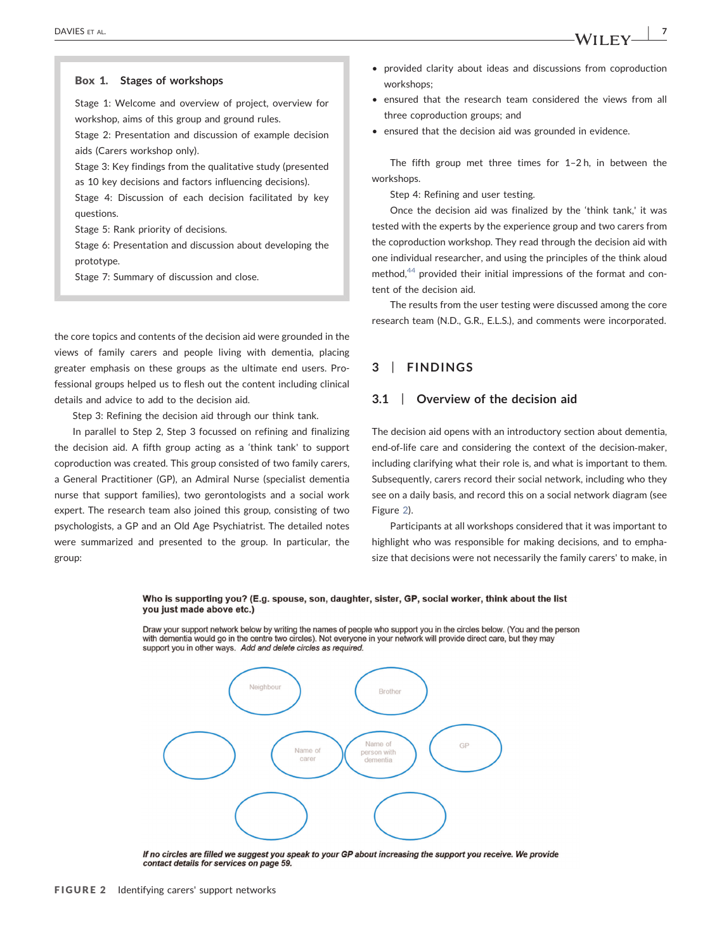### <span id="page-6-0"></span>Box 1. Stages of workshops Stage 1: Welcome and overview of project, overview for workshop, aims of this group and ground rules. Stage 2: Presentation and discussion of example decision aids (Carers workshop only). Stage 3: Key findings from the qualitative study (presented as 10 key decisions and factors influencing decisions). Stage 4: Discussion of each decision facilitated by key questions. Stage 5: Rank priority of decisions.

Stage 6: Presentation and discussion about developing the prototype.

Stage 7: Summary of discussion and close.

the core topics and contents of the decision aid were grounded in the views of family carers and people living with dementia, placing greater emphasis on these groups as the ultimate end users. Professional groups helped us to flesh out the content including clinical details and advice to add to the decision aid.

Step 3: Refining the decision aid through our think tank.

In parallel to Step 2, Step 3 focussed on refining and finalizing the decision aid. A fifth group acting as a 'think tank' to support coproduction was created. This group consisted of two family carers, a General Practitioner (GP), an Admiral Nurse (specialist dementia nurse that support families), two gerontologists and a social work expert. The research team also joined this group, consisting of two psychologists, a GP and an Old Age Psychiatrist. The detailed notes were summarized and presented to the group. In particular, the group:

- provided clarity about ideas and discussions from coproduction workshops;
- ensured that the research team considered the views from all three coproduction groups; and
- ensured that the decision aid was grounded in evidence.

The fifth group met three times for 1–2 h, in between the workshops.

Step 4: Refining and user testing.

Once the decision aid was finalized by the 'think tank,' it was tested with the experts by the experience group and two carers from the coproduction workshop. They read through the decision aid with one individual researcher, and using the principles of the think aloud method,<sup>[44](#page-12-18)</sup> provided their initial impressions of the format and content of the decision aid.

The results from the user testing were discussed among the core research team (N.D., G.R., E.L.S.), and comments were incorporated.

### 3 | FINDINGS

### 3.1 | Overview of the decision aid

The decision aid opens with an introductory section about dementia, end‐of‐life care and considering the context of the decision‐maker, including clarifying what their role is, and what is important to them. Subsequently, carers record their social network, including who they see on a daily basis, and record this on a social network diagram (see Figure [2\)](#page-6-1).

Participants at all workshops considered that it was important to highlight who was responsible for making decisions, and to emphasize that decisions were not necessarily the family carers' to make, in

#### <span id="page-6-1"></span>Who is supporting you? (E.g. spouse, son, daughter, sister, GP, social worker, think about the list you just made above etc.)

Draw your support network below by writing the names of people who support you in the circles below. (You and the person with dementia would go in the centre two circles). Not everyone in your network will provide direct care, but they may support you in other ways. Add and delete circles as required.



If no circles are filled we suggest you speak to your GP about increasing the support you receive. We provide contact details for services on page 59.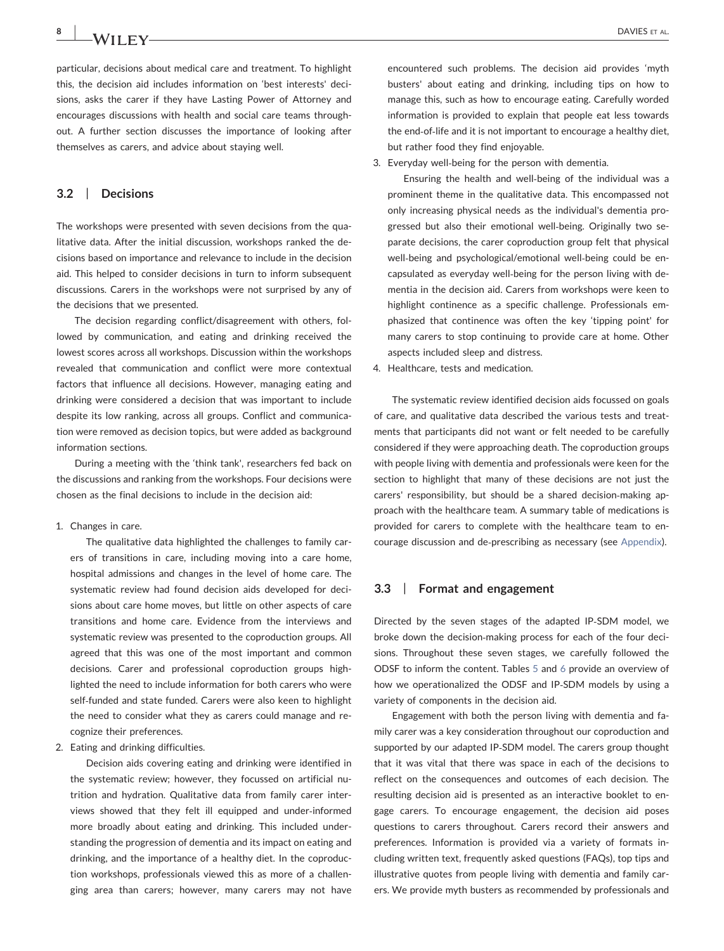$8$  | MATLEY

particular, decisions about medical care and treatment. To highlight this, the decision aid includes information on 'best interests' decisions, asks the carer if they have Lasting Power of Attorney and encourages discussions with health and social care teams throughout. A further section discusses the importance of looking after themselves as carers, and advice about staying well.

### 3.2 | Decisions

The workshops were presented with seven decisions from the qualitative data. After the initial discussion, workshops ranked the decisions based on importance and relevance to include in the decision aid. This helped to consider decisions in turn to inform subsequent discussions. Carers in the workshops were not surprised by any of the decisions that we presented.

The decision regarding conflict/disagreement with others, followed by communication, and eating and drinking received the lowest scores across all workshops. Discussion within the workshops revealed that communication and conflict were more contextual factors that influence all decisions. However, managing eating and drinking were considered a decision that was important to include despite its low ranking, across all groups. Conflict and communication were removed as decision topics, but were added as background information sections.

During a meeting with the 'think tank', researchers fed back on the discussions and ranking from the workshops. Four decisions were chosen as the final decisions to include in the decision aid:

#### 1. Changes in care.

The qualitative data highlighted the challenges to family carers of transitions in care, including moving into a care home, hospital admissions and changes in the level of home care. The systematic review had found decision aids developed for decisions about care home moves, but little on other aspects of care transitions and home care. Evidence from the interviews and systematic review was presented to the coproduction groups. All agreed that this was one of the most important and common decisions. Carer and professional coproduction groups highlighted the need to include information for both carers who were self-funded and state funded. Carers were also keen to highlight the need to consider what they as carers could manage and recognize their preferences.

#### 2. Eating and drinking difficulties.

Decision aids covering eating and drinking were identified in the systematic review; however, they focussed on artificial nutrition and hydration. Qualitative data from family carer interviews showed that they felt ill equipped and under‐informed more broadly about eating and drinking. This included understanding the progression of dementia and its impact on eating and drinking, and the importance of a healthy diet. In the coproduction workshops, professionals viewed this as more of a challenging area than carers; however, many carers may not have encountered such problems. The decision aid provides 'myth busters' about eating and drinking, including tips on how to manage this, such as how to encourage eating. Carefully worded information is provided to explain that people eat less towards the end‐of‐life and it is not important to encourage a healthy diet, but rather food they find enjoyable.

3. Everyday well‐being for the person with dementia.

Ensuring the health and well‐being of the individual was a prominent theme in the qualitative data. This encompassed not only increasing physical needs as the individual's dementia progressed but also their emotional well‐being. Originally two separate decisions, the carer coproduction group felt that physical well-being and psychological/emotional well-being could be encapsulated as everyday well‐being for the person living with dementia in the decision aid. Carers from workshops were keen to highlight continence as a specific challenge. Professionals emphasized that continence was often the key 'tipping point' for many carers to stop continuing to provide care at home. Other aspects included sleep and distress.

4. Healthcare, tests and medication.

The systematic review identified decision aids focussed on goals of care, and qualitative data described the various tests and treatments that participants did not want or felt needed to be carefully considered if they were approaching death. The coproduction groups with people living with dementia and professionals were keen for the section to highlight that many of these decisions are not just the carers' responsibility, but should be a shared decision-making approach with the healthcare team. A summary table of medications is provided for carers to complete with the healthcare team to encourage discussion and de‐prescribing as necessary (see [Appendix](#page-13-0)).

#### 3.3 | Format and engagement

Directed by the seven stages of the adapted IP‐SDM model, we broke down the decision‐making process for each of the four decisions. Throughout these seven stages, we carefully followed the ODSF to inform the content. Tables [5](#page-8-0) and [6](#page-9-0) provide an overview of how we operationalized the ODSF and IP‐SDM models by using a variety of components in the decision aid.

Engagement with both the person living with dementia and family carer was a key consideration throughout our coproduction and supported by our adapted IP‐SDM model. The carers group thought that it was vital that there was space in each of the decisions to reflect on the consequences and outcomes of each decision. The resulting decision aid is presented as an interactive booklet to engage carers. To encourage engagement, the decision aid poses questions to carers throughout. Carers record their answers and preferences. Information is provided via a variety of formats including written text, frequently asked questions (FAQs), top tips and illustrative quotes from people living with dementia and family carers. We provide myth busters as recommended by professionals and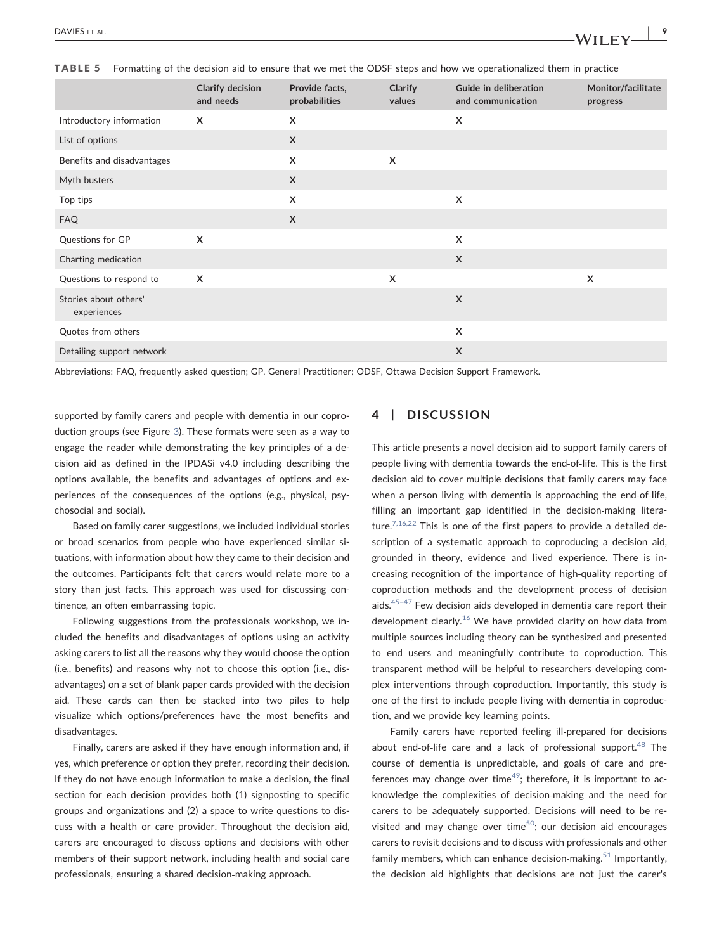<span id="page-8-0"></span>

| TABLE 5 Formatting of the decision aid to ensure that we met the ODSF steps and how we operationalized them in practice |  |
|-------------------------------------------------------------------------------------------------------------------------|--|
|-------------------------------------------------------------------------------------------------------------------------|--|

|                                      | Clarify decision<br>and needs | Provide facts,<br>probabilities | Clarify<br>values         | Guide in deliberation<br>and communication | Monitor/facilitate<br>progress |
|--------------------------------------|-------------------------------|---------------------------------|---------------------------|--------------------------------------------|--------------------------------|
| Introductory information             | $\times$                      | X                               |                           | $\boldsymbol{\mathsf{X}}$                  |                                |
| List of options                      |                               | $\mathsf{x}$                    |                           |                                            |                                |
| Benefits and disadvantages           |                               | X                               | $\boldsymbol{\mathsf{x}}$ |                                            |                                |
| Myth busters                         |                               | $\mathsf{X}$                    |                           |                                            |                                |
| Top tips                             |                               | X                               |                           | X                                          |                                |
| <b>FAQ</b>                           |                               | $\mathsf{x}$                    |                           |                                            |                                |
| Questions for GP                     | $\mathsf{x}$                  |                                 |                           | $\boldsymbol{\mathsf{X}}$                  |                                |
| Charting medication                  |                               |                                 |                           | $\boldsymbol{\mathsf{X}}$                  |                                |
| Questions to respond to              | $\boldsymbol{\mathsf{x}}$     |                                 | $\mathsf{x}$              |                                            | $\boldsymbol{\mathsf{x}}$      |
| Stories about others'<br>experiences |                               |                                 |                           | X                                          |                                |
| Quotes from others                   |                               |                                 |                           | $\boldsymbol{\mathsf{X}}$                  |                                |
| Detailing support network            |                               |                                 |                           | $\mathsf{X}$                               |                                |

Abbreviations: FAQ, frequently asked question; GP, General Practitioner; ODSF, Ottawa Decision Support Framework.

supported by family carers and people with dementia in our coproduction groups (see Figure [3](#page-10-0)). These formats were seen as a way to engage the reader while demonstrating the key principles of a decision aid as defined in the IPDASi v4.0 including describing the options available, the benefits and advantages of options and experiences of the consequences of the options (e.g., physical, psychosocial and social).

Based on family carer suggestions, we included individual stories or broad scenarios from people who have experienced similar situations, with information about how they came to their decision and the outcomes. Participants felt that carers would relate more to a story than just facts. This approach was used for discussing continence, an often embarrassing topic.

Following suggestions from the professionals workshop, we included the benefits and disadvantages of options using an activity asking carers to list all the reasons why they would choose the option (i.e., benefits) and reasons why not to choose this option (i.e., disadvantages) on a set of blank paper cards provided with the decision aid. These cards can then be stacked into two piles to help visualize which options/preferences have the most benefits and disadvantages.

Finally, carers are asked if they have enough information and, if yes, which preference or option they prefer, recording their decision. If they do not have enough information to make a decision, the final section for each decision provides both (1) signposting to specific groups and organizations and (2) a space to write questions to discuss with a health or care provider. Throughout the decision aid, carers are encouraged to discuss options and decisions with other members of their support network, including health and social care professionals, ensuring a shared decision‐making approach.

### DISCUSSION

This article presents a novel decision aid to support family carers of people living with dementia towards the end‐of‐life. This is the first decision aid to cover multiple decisions that family carers may face when a person living with dementia is approaching the end-of-life, filling an important gap identified in the decision-making literature. $7,16,22$  This is one of the first papers to provide a detailed description of a systematic approach to coproducing a decision aid, grounded in theory, evidence and lived experience. There is increasing recognition of the importance of high‐quality reporting of coproduction methods and the development process of decision aids. $45-47$  $45-47$  Few decision aids developed in dementia care report their development clearly.<sup>[16](#page-11-8)</sup> We have provided clarity on how data from multiple sources including theory can be synthesized and presented to end users and meaningfully contribute to coproduction. This transparent method will be helpful to researchers developing complex interventions through coproduction. Importantly, this study is one of the first to include people living with dementia in coproduction, and we provide key learning points.

Family carers have reported feeling ill‐prepared for decisions about end-of-life care and a lack of professional support. $48$  The course of dementia is unpredictable, and goals of care and preferences may change over time<sup>49</sup>; therefore, it is important to acknowledge the complexities of decision‐making and the need for carers to be adequately supported. Decisions will need to be revisited and may change over time<sup>50</sup>; our decision aid encourages carers to revisit decisions and to discuss with professionals and other family members, which can enhance decision-making.<sup>[51](#page-12-23)</sup> Importantly, the decision aid highlights that decisions are not just the carer's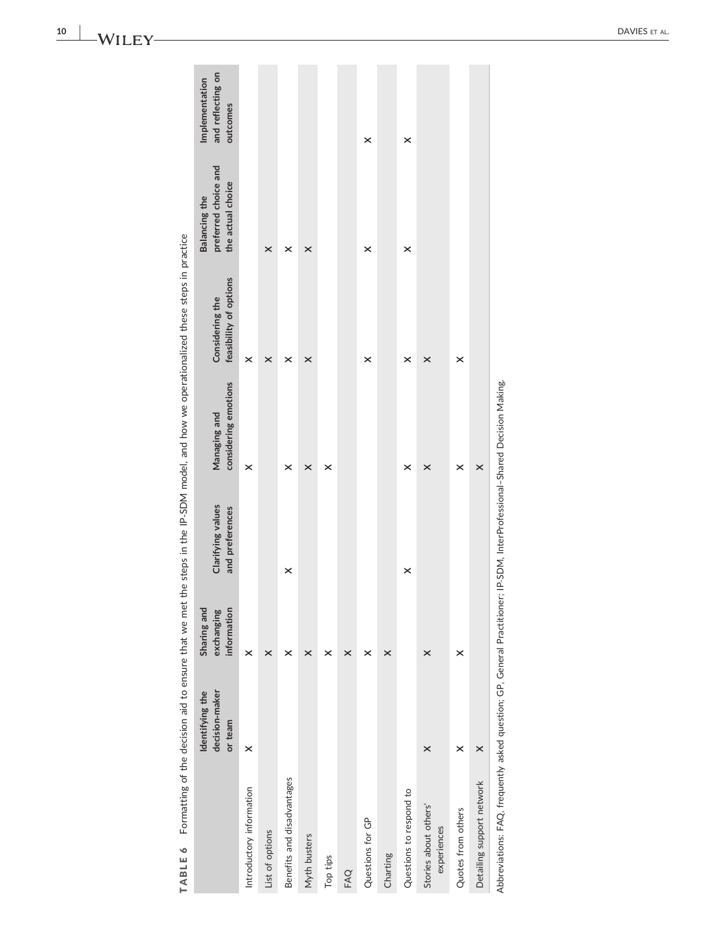<span id="page-9-0"></span>

| TABLE 6                                                                                                                    |                                              |                                          |                                      |                                      | Formatting of the decision aid to ensure that we met the steps in the IP-SDM model, and how we operationalized these steps in practice |                                                                   |                                                 |
|----------------------------------------------------------------------------------------------------------------------------|----------------------------------------------|------------------------------------------|--------------------------------------|--------------------------------------|----------------------------------------------------------------------------------------------------------------------------------------|-------------------------------------------------------------------|-------------------------------------------------|
|                                                                                                                            | decision-maker<br>Identifying the<br>or team | Sharing and<br>exchanging<br>information | Clarifying values<br>and preferences | considering emotions<br>Managing and | feasibility of options<br>Considering the                                                                                              | preferred choice and<br>the actual choice<br><b>Balancing the</b> | and reflecting on<br>Implementation<br>outcomes |
| Introductory information                                                                                                   | $\times$                                     | ×                                        |                                      | $\times$                             | ×                                                                                                                                      |                                                                   |                                                 |
| List of options                                                                                                            |                                              | ×                                        |                                      |                                      | ×                                                                                                                                      | ×                                                                 |                                                 |
| Benefits and disadvantages                                                                                                 |                                              | ×                                        | $\times$                             | ×                                    | ×                                                                                                                                      | ×                                                                 |                                                 |
| Myth busters                                                                                                               |                                              | ×                                        |                                      | ×                                    | ×                                                                                                                                      | ×                                                                 |                                                 |
| Top tips                                                                                                                   |                                              | ×                                        |                                      | ×                                    |                                                                                                                                        |                                                                   |                                                 |
| FAQ                                                                                                                        |                                              | ×                                        |                                      |                                      |                                                                                                                                        |                                                                   |                                                 |
| Questions for GP                                                                                                           |                                              | ×                                        |                                      |                                      | ×                                                                                                                                      | ×                                                                 | ×                                               |
| Charting                                                                                                                   |                                              | ×                                        |                                      |                                      |                                                                                                                                        |                                                                   |                                                 |
| Questions to respond to                                                                                                    |                                              |                                          | ×                                    | ×                                    | ×                                                                                                                                      | ×                                                                 | $\times$                                        |
| Stories about others'<br>experiences                                                                                       | $\times$                                     | ×                                        |                                      | ×                                    | ×                                                                                                                                      |                                                                   |                                                 |
| Quotes from others                                                                                                         | ×                                            | ×                                        |                                      | ×                                    | ×                                                                                                                                      |                                                                   |                                                 |
| Detailing support network                                                                                                  | $\times$                                     |                                          |                                      | ×                                    |                                                                                                                                        |                                                                   |                                                 |
| Abbreviations: FAQ, frequently asked question; GP, General Practitioner; IP-SDM, InterProfessional-Shared Decision Making. |                                              |                                          |                                      |                                      |                                                                                                                                        |                                                                   |                                                 |

-WILEY

10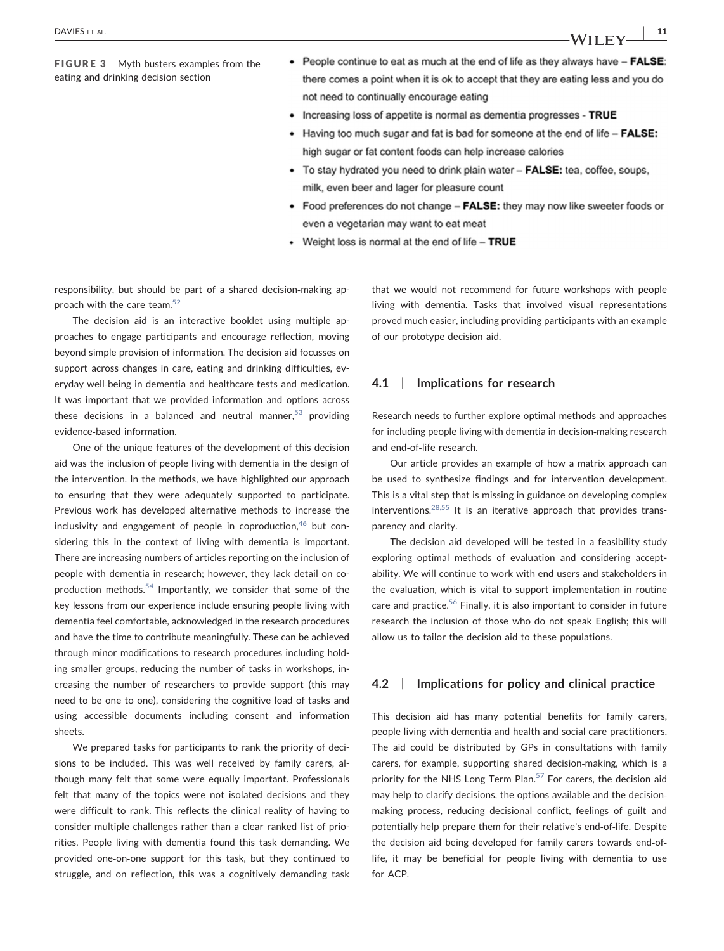<span id="page-10-0"></span>FIGURE 3 Myth busters examples from the eating and drinking decision section

- People continue to eat as much at the end of life as they always have FALSE: there comes a point when it is ok to accept that they are eating less and you do not need to continually encourage eating
- Increasing loss of appetite is normal as dementia progresses TRUE
- Having too much sugar and fat is bad for someone at the end of life FALSE: high sugar or fat content foods can help increase calories
- To stay hydrated you need to drink plain water FALSE: tea, coffee, soups, milk, even beer and lager for pleasure count
- Food preferences do not change FALSE: they may now like sweeter foods or even a vegetarian may want to eat meat
- Weight loss is normal at the end of life TRUE

responsibility, but should be part of a shared decision‐making approach with the care team. $52$ 

The decision aid is an interactive booklet using multiple approaches to engage participants and encourage reflection, moving beyond simple provision of information. The decision aid focusses on support across changes in care, eating and drinking difficulties, everyday well‐being in dementia and healthcare tests and medication. It was important that we provided information and options across these decisions in a balanced and neutral manner,  $53$  providing evidence‐based information.

One of the unique features of the development of this decision aid was the inclusion of people living with dementia in the design of the intervention. In the methods, we have highlighted our approach to ensuring that they were adequately supported to participate. Previous work has developed alternative methods to increase the inclusivity and engagement of people in coproduction,  $46$  but considering this in the context of living with dementia is important. There are increasing numbers of articles reporting on the inclusion of people with dementia in research; however, they lack detail on co-production methods.<sup>[54](#page-12-27)</sup> Importantly, we consider that some of the key lessons from our experience include ensuring people living with dementia feel comfortable, acknowledged in the research procedures and have the time to contribute meaningfully. These can be achieved through minor modifications to research procedures including holding smaller groups, reducing the number of tasks in workshops, increasing the number of researchers to provide support (this may need to be one to one), considering the cognitive load of tasks and using accessible documents including consent and information sheets.

We prepared tasks for participants to rank the priority of decisions to be included. This was well received by family carers, although many felt that some were equally important. Professionals felt that many of the topics were not isolated decisions and they were difficult to rank. This reflects the clinical reality of having to consider multiple challenges rather than a clear ranked list of priorities. People living with dementia found this task demanding. We provided one‐on‐one support for this task, but they continued to struggle, and on reflection, this was a cognitively demanding task that we would not recommend for future workshops with people living with dementia. Tasks that involved visual representations proved much easier, including providing participants with an example of our prototype decision aid.

### 4.1 | Implications for research

Research needs to further explore optimal methods and approaches for including people living with dementia in decision‐making research and end‐of‐life research.

Our article provides an example of how a matrix approach can be used to synthesize findings and for intervention development. This is a vital step that is missing in guidance on developing complex interventions. $28,55$  It is an iterative approach that provides transparency and clarity.

The decision aid developed will be tested in a feasibility study exploring optimal methods of evaluation and considering acceptability. We will continue to work with end users and stakeholders in the evaluation, which is vital to support implementation in routine care and practice[.56](#page-12-28) Finally, it is also important to consider in future research the inclusion of those who do not speak English; this will allow us to tailor the decision aid to these populations.

### 4.2 | Implications for policy and clinical practice

This decision aid has many potential benefits for family carers, people living with dementia and health and social care practitioners. The aid could be distributed by GPs in consultations with family carers, for example, supporting shared decision‐making, which is a priority for the NHS Long Term Plan. $57$  For carers, the decision aid may help to clarify decisions, the options available and the decisionmaking process, reducing decisional conflict, feelings of guilt and potentially help prepare them for their relative's end‐of‐life. Despite the decision aid being developed for family carers towards end‐of‐ life, it may be beneficial for people living with dementia to use for ACP.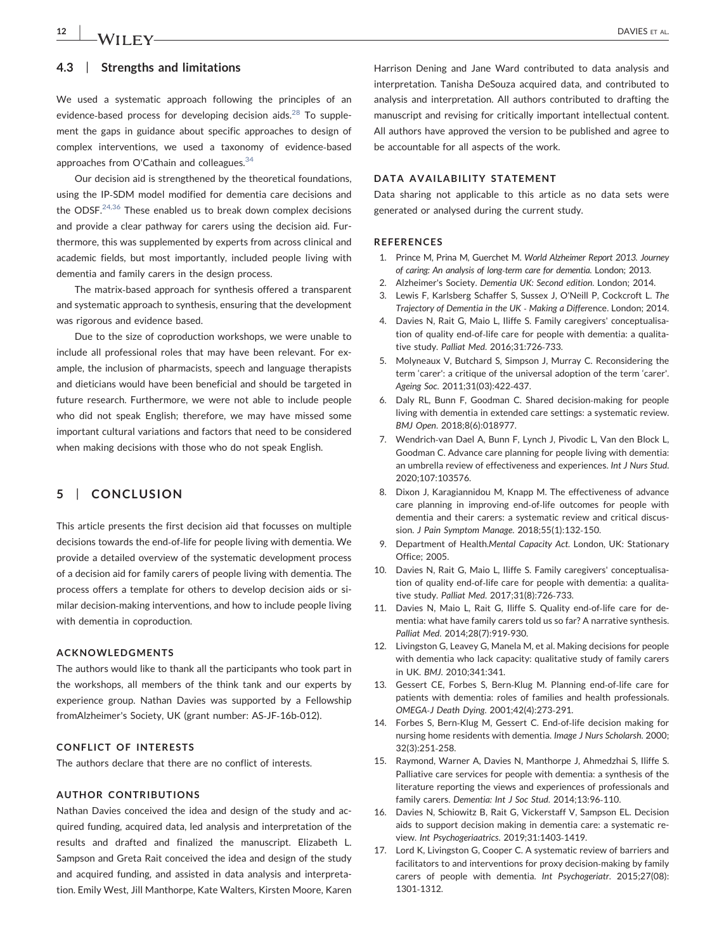## 12 | **JA/II EV**

### 4.3 | Strengths and limitations

We used a systematic approach following the principles of an evidence-based process for developing decision aids.<sup>[28](#page-12-7)</sup> To supplement the gaps in guidance about specific approaches to design of complex interventions, we used a taxonomy of evidence‐based approaches from O'Cathain and colleagues.<sup>[34](#page-12-9)</sup>

Our decision aid is strengthened by the theoretical foundations, using the IP‐SDM model modified for dementia care decisions and the ODSF. $24,36$  These enabled us to break down complex decisions and provide a clear pathway for carers using the decision aid. Furthermore, this was supplemented by experts from across clinical and academic fields, but most importantly, included people living with dementia and family carers in the design process.

The matrix‐based approach for synthesis offered a transparent and systematic approach to synthesis, ensuring that the development was rigorous and evidence based.

Due to the size of coproduction workshops, we were unable to include all professional roles that may have been relevant. For example, the inclusion of pharmacists, speech and language therapists and dieticians would have been beneficial and should be targeted in future research. Furthermore, we were not able to include people who did not speak English; therefore, we may have missed some important cultural variations and factors that need to be considered when making decisions with those who do not speak English.

### 5 | CONCLUSION

This article presents the first decision aid that focusses on multiple decisions towards the end‐of‐life for people living with dementia. We provide a detailed overview of the systematic development process of a decision aid for family carers of people living with dementia. The process offers a template for others to develop decision aids or similar decision‐making interventions, and how to include people living with dementia in coproduction.

#### ACKNOWLEDGMENTS

The authors would like to thank all the participants who took part in the workshops, all members of the think tank and our experts by experience group. Nathan Davies was supported by a Fellowship fromAlzheimer's Society, UK (grant number: AS‐JF‐16b‐012).

#### CONFLICT OF INTERESTS

The authors declare that there are no conflict of interests.

#### AUTHOR CONTRIBUTIONS

Nathan Davies conceived the idea and design of the study and acquired funding, acquired data, led analysis and interpretation of the results and drafted and finalized the manuscript. Elizabeth L. Sampson and Greta Rait conceived the idea and design of the study and acquired funding, and assisted in data analysis and interpretation. Emily West, Jill Manthorpe, Kate Walters, Kirsten Moore, Karen

Harrison Dening and Jane Ward contributed to data analysis and interpretation. Tanisha DeSouza acquired data, and contributed to analysis and interpretation. All authors contributed to drafting the manuscript and revising for critically important intellectual content. All authors have approved the version to be published and agree to be accountable for all aspects of the work.

### DATA AVAILABILITY STATEMENT

Data sharing not applicable to this article as no data sets were generated or analysed during the current study.

#### **REFERENCES**

- <span id="page-11-0"></span>1. Prince M, Prina M, Guerchet M. World Alzheimer Report 2013. Journey of caring: An analysis of long‐term care for dementia. London; 2013.
- 2. Alzheimer's Society. Dementia UK: Second edition. London; 2014.
- <span id="page-11-1"></span>3. Lewis F, Karlsberg Schaffer S, Sussex J, O'Neill P, Cockcroft L. The Trajectory of Dementia in the UK ‐ Making a Difference. London; 2014.
- <span id="page-11-2"></span>4. Davies N, Rait G, Maio L, Iliffe S. Family caregivers' conceptualisation of quality end‐of‐life care for people with dementia: a qualitative study. Palliat Med. 2016;31:726‐733.
- 5. Molyneaux V, Butchard S, Simpson J, Murray C. Reconsidering the term 'carer': a critique of the universal adoption of the term 'carer'. Ageing Soc. 2011;31(03):422‐437.
- <span id="page-11-3"></span>6. Daly RL, Bunn F, Goodman C. Shared decision‐making for people living with dementia in extended care settings: a systematic review. BMJ Open. 2018;8(6):018977.
- <span id="page-11-4"></span>7. Wendrich-van Dael A, Bunn F, Lynch J, Pivodic L, Van den Block L, Goodman C. Advance care planning for people living with dementia: an umbrella review of effectiveness and experiences. Int J Nurs Stud. 2020;107:103576.
- 8. Dixon J, Karagiannidou M, Knapp M. The effectiveness of advance care planning in improving end‐of‐life outcomes for people with dementia and their carers: a systematic review and critical discussion. J Pain Symptom Manage. 2018;55(1):132‐150.
- <span id="page-11-5"></span>9. Department of Health.Mental Capacity Act. London, UK: Stationary Office; 2005.
- <span id="page-11-6"></span>10. Davies N, Rait G, Maio L, Iliffe S. Family caregivers' conceptualisation of quality end‐of‐life care for people with dementia: a qualitative study. Palliat Med. 2017;31(8):726‐733.
- 11. Davies N, Maio L, Rait G, Iliffe S. Quality end-of-life care for dementia: what have family carers told us so far? A narrative synthesis. Palliat Med. 2014;28(7):919‐930.
- 12. Livingston G, Leavey G, Manela M, et al. Making decisions for people with dementia who lack capacity: qualitative study of family carers in UK. BMJ. 2010;341:341.
- <span id="page-11-7"></span>13. Gessert CE, Forbes S, Bern‐Klug M. Planning end‐of‐life care for patients with dementia: roles of families and health professionals. OMEGA‐J Death Dying. 2001;42(4):273‐291.
- 14. Forbes S, Bern-Klug M, Gessert C. End-of-life decision making for nursing home residents with dementia. Image J Nurs Scholarsh. 2000; 32(3):251‐258.
- 15. Raymond, Warner A, Davies N, Manthorpe J, Ahmedzhai S, Iliffe S. Palliative care services for people with dementia: a synthesis of the literature reporting the views and experiences of professionals and family carers. Dementia: Int J Soc Stud. 2014;13:96‐110.
- <span id="page-11-8"></span>16. Davies N, Schiowitz B, Rait G, Vickerstaff V, Sampson EL. Decision aids to support decision making in dementia care: a systematic review. Int Psychogeriaatrics. 2019;31:1403‐1419.
- 17. Lord K, Livingston G, Cooper C. A systematic review of barriers and facilitators to and interventions for proxy decision‐making by family carers of people with dementia. Int Psychogeriatr. 2015;27(08): 1301‐1312.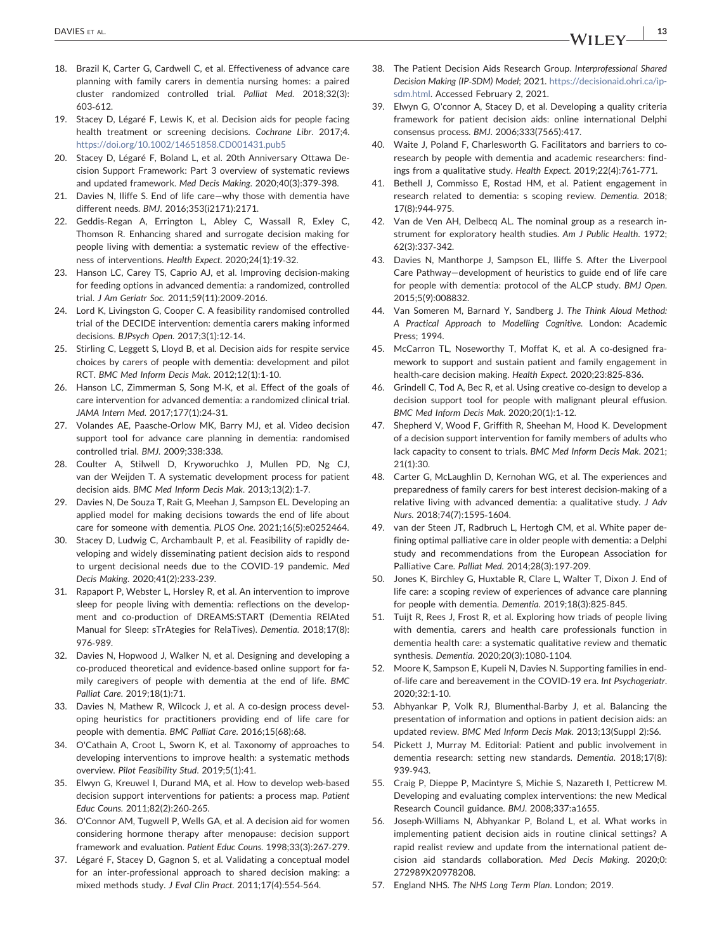- <span id="page-12-0"></span>18. Brazil K, Carter G, Cardwell C, et al. Effectiveness of advance care planning with family carers in dementia nursing homes: a paired cluster randomized controlled trial. Palliat Med. 2018;32(3): 603‐612.
- <span id="page-12-1"></span>19. Stacey D, Légaré F, Lewis K, et al. Decision aids for people facing health treatment or screening decisions. Cochrane Libr. 2017;4. <https://doi.org/10.1002/14651858.CD001431.pub5>
- <span id="page-12-13"></span>Stacey D, Légaré F, Boland L, et al. 20th Anniversary Ottawa Decision Support Framework: Part 3 overview of systematic reviews and updated framework. Med Decis Making. 2020;40(3):379‐398.
- <span id="page-12-2"></span>21. Davies N, Iliffe S. End of life care—why those with dementia have different needs. BMJ. 2016;353(i2171):2171.
- 22. Geddis-Regan A, Errington L, Abley C, Wassall R, Exley C, Thomson R. Enhancing shared and surrogate decision making for people living with dementia: a systematic review of the effectiveness of interventions. Health Expect. 2020;24(1):19‐32.
- <span id="page-12-3"></span>23. Hanson LC, Carey TS, Caprio AJ, et al. Improving decision‐making for feeding options in advanced dementia: a randomized, controlled trial. J Am Geriatr Soc. 2011;59(11):2009‐2016.
- <span id="page-12-4"></span>24. Lord K, Livingston G, Cooper C. A feasibility randomised controlled trial of the DECIDE intervention: dementia carers making informed decisions. BJPsych Open. 2017;3(1):12‐14.
- 25. Stirling C, Leggett S, Lloyd B, et al. Decision aids for respite service choices by carers of people with dementia: development and pilot RCT. BMC Med Inform Decis Mak. 2012;12(1):1‐10.
- <span id="page-12-5"></span>26. Hanson LC, Zimmerman S, Song M‐K, et al. Effect of the goals of care intervention for advanced dementia: a randomized clinical trial. JAMA Intern Med. 2017;177(1):24‐31.
- 27. Volandes AE, Paasche‐Orlow MK, Barry MJ, et al. Video decision support tool for advance care planning in dementia: randomised controlled trial. BMJ. 2009;338:338.
- <span id="page-12-7"></span>28. Coulter A, Stilwell D, Kryworuchko J, Mullen PD, Ng CJ, van der Weijden T. A systematic development process for patient decision aids. BMC Med Inform Decis Mak. 2013;13(2):1‐7.
- <span id="page-12-6"></span>29. Davies N, De Souza T, Rait G, Meehan J, Sampson EL. Developing an applied model for making decisions towards the end of life about care for someone with dementia. PLOS One. 2021;16(5):e0252464.
- 30. Stacey D, Ludwig C, Archambault P, et al. Feasibility of rapidly developing and widely disseminating patient decision aids to respond to urgent decisional needs due to the COVID‐19 pandemic. Med Decis Making. 2020;41(2):233‐239.
- <span id="page-12-8"></span>31. Rapaport P, Webster L, Horsley R, et al. An intervention to improve sleep for people living with dementia: reflections on the development and co‐production of DREAMS:START (Dementia RElAted Manual for Sleep: sTrAtegies for RelaTives). Dementia. 2018;17(8): 976‐989.
- <span id="page-12-17"></span>32. Davies N, Hopwood J, Walker N, et al. Designing and developing a co‐produced theoretical and evidence‐based online support for family caregivers of people with dementia at the end of life. BMC Palliat Care. 2019;18(1):71.
- 33. Davies N, Mathew R, Wilcock J, et al. A co-design process developing heuristics for practitioners providing end of life care for people with dementia. BMC Palliat Care. 2016;15(68):68.
- <span id="page-12-9"></span>34. O'Cathain A, Croot L, Sworn K, et al. Taxonomy of approaches to developing interventions to improve health: a systematic methods overview. Pilot Feasibility Stud. 2019;5(1):41.
- <span id="page-12-10"></span>35. Elwyn G, Kreuwel I, Durand MA, et al. How to develop web‐based decision support interventions for patients: a process map. Patient Educ Couns. 2011;82(2):260‐265.
- <span id="page-12-11"></span>36. O'Connor AM, Tugwell P, Wells GA, et al. A decision aid for women considering hormone therapy after menopause: decision support framework and evaluation. Patient Educ Couns. 1998;33(3):267‐279.
- <span id="page-12-12"></span>37. Légaré F, Stacey D, Gagnon S, et al. Validating a conceptual model for an inter-professional approach to shared decision making: a mixed methods study. J Eval Clin Pract. 2011;17(4):554‐564.
- <span id="page-12-14"></span>38. The Patient Decision Aids Research Group. Interprofessional Shared Decision Making (IP‐SDM) Model; 2021. [https://decisionaid.ohri.ca/ip](https://decisionaid.ohri.ca/ip-sdm.html)[sdm.html](https://decisionaid.ohri.ca/ip-sdm.html). Accessed February 2, 2021.
- <span id="page-12-15"></span>39. Elwyn G, O'connor A, Stacey D, et al. Developing a quality criteria framework for patient decision aids: online international Delphi consensus process. BMJ. 2006;333(7565):417.
- <span id="page-12-16"></span>40. Waite J, Poland F, Charlesworth G. Facilitators and barriers to co‐ research by people with dementia and academic researchers: findings from a qualitative study. Health Expect. 2019;22(4):761‐771.
- 41. Bethell J, Commisso E, Rostad HM, et al. Patient engagement in research related to dementia: s scoping review. Dementia. 2018; 17(8):944‐975.
- 42. Van de Ven AH, Delbecq AL. The nominal group as a research instrument for exploratory health studies. Am J Public Health. 1972; 62(3):337‐342.
- 43. Davies N, Manthorpe J, Sampson EL, Iliffe S. After the Liverpool Care Pathway—development of heuristics to guide end of life care for people with dementia: protocol of the ALCP study. BMJ Open. 2015;5(9):008832.
- <span id="page-12-18"></span>44. Van Someren M, Barnard Y, Sandberg J. The Think Aloud Method: A Practical Approach to Modelling Cognitive. London: Academic Press; 1994.
- <span id="page-12-19"></span>45. McCarron TL, Noseworthy T, Moffat K, et al. A co-designed framework to support and sustain patient and family engagement in health-care decision making. Health Expect. 2020;23:825-836.
- <span id="page-12-26"></span>46. Grindell C, Tod A, Bec R, et al. Using creative co-design to develop a decision support tool for people with malignant pleural effusion. BMC Med Inform Decis Mak. 2020;20(1):1‐12.
- 47. Shepherd V, Wood F, Griffith R, Sheehan M, Hood K. Development of a decision support intervention for family members of adults who lack capacity to consent to trials. BMC Med Inform Decis Mak. 2021; 21(1):30.
- <span id="page-12-20"></span>48. Carter G, McLaughlin D, Kernohan WG, et al. The experiences and preparedness of family carers for best interest decision‐making of a relative living with advanced dementia: a qualitative study. J Adv Nurs. 2018;74(7):1595‐1604.
- <span id="page-12-21"></span>49. van der Steen JT, Radbruch L, Hertogh CM, et al. White paper defining optimal palliative care in older people with dementia: a Delphi study and recommendations from the European Association for Palliative Care. Palliat Med. 2014;28(3):197‐209.
- <span id="page-12-22"></span>50. Jones K, Birchley G, Huxtable R, Clare L, Walter T, Dixon J. End of life care: a scoping review of experiences of advance care planning for people with dementia. Dementia. 2019;18(3):825‐845.
- <span id="page-12-23"></span>51. Tuijt R, Rees J, Frost R, et al. Exploring how triads of people living with dementia, carers and health care professionals function in dementia health care: a systematic qualitative review and thematic synthesis. Dementia. 2020;20(3):1080‐1104.
- <span id="page-12-24"></span>52. Moore K, Sampson E, Kupeli N, Davies N. Supporting families in end‐ of-life care and bereavement in the COVID-19 era. Int Psychogeriatr. 2020;32:1‐10.
- <span id="page-12-25"></span>53. Abhyankar P, Volk RJ, Blumenthal‐Barby J, et al. Balancing the presentation of information and options in patient decision aids: an updated review. BMC Med Inform Decis Mak. 2013;13(Suppl 2):S6.
- <span id="page-12-27"></span>54. Pickett J, Murray M. Editorial: Patient and public involvement in dementia research: setting new standards. Dementia. 2018;17(8): 939‐943.
- 55. Craig P, Dieppe P, Macintyre S, Michie S, Nazareth I, Petticrew M. Developing and evaluating complex interventions: the new Medical Research Council guidance. BMJ. 2008;337:a1655.
- <span id="page-12-28"></span>56. Joseph‐Williams N, Abhyankar P, Boland L, et al. What works in implementing patient decision aids in routine clinical settings? A rapid realist review and update from the international patient decision aid standards collaboration. Med Decis Making. 2020;0: 272989X20978208.
- <span id="page-12-29"></span>57. England NHS. The NHS Long Term Plan. London; 2019.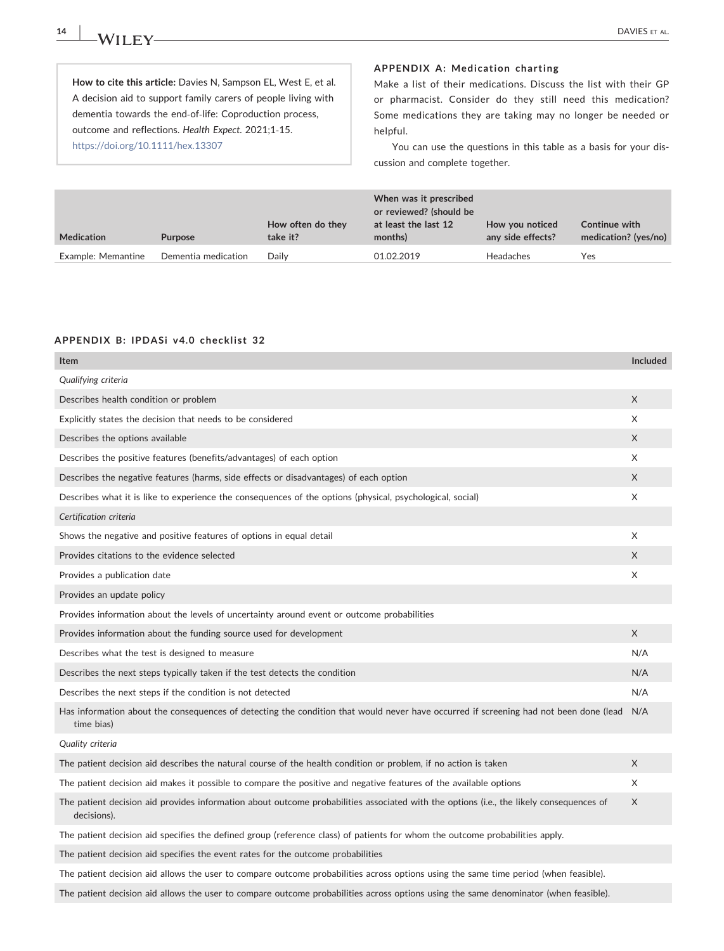14 | **IA/II EV** DAVIES ET AL.

How to cite this article: Davies N, Sampson EL, West E, et al. A decision aid to support family carers of people living with dementia towards the end‐of‐life: Coproduction process, outcome and reflections. Health Expect. 2021;1‐15. <https://doi.org/10.1111/hex.13307>

#### <span id="page-13-0"></span>APPENDIX A: Medication charting

Make a list of their medications. Discuss the list with their GP or pharmacist. Consider do they still need this medication? Some medications they are taking may no longer be needed or helpful.

You can use the questions in this table as a basis for your discussion and complete together.

| <b>Medication</b>  | <b>Purpose</b>      | How often do they<br>take it? | When was it prescribed<br>or reviewed? (should be<br>at least the last 12<br>months) | How you noticed<br>any side effects? | Continue with<br>medication? (yes/no) |
|--------------------|---------------------|-------------------------------|--------------------------------------------------------------------------------------|--------------------------------------|---------------------------------------|
| Example: Memantine | Dementia medication | Daily                         | 01.02.2019                                                                           | Headaches                            | Yes                                   |

#### APPENDIX B: IPDASi v4.0 checklist 32

| Item                                                                                                                                                   | <b>Included</b> |
|--------------------------------------------------------------------------------------------------------------------------------------------------------|-----------------|
| Qualifying criteria                                                                                                                                    |                 |
| Describes health condition or problem                                                                                                                  | X               |
| Explicitly states the decision that needs to be considered                                                                                             | X               |
| Describes the options available                                                                                                                        | X               |
| Describes the positive features (benefits/advantages) of each option                                                                                   | X               |
| Describes the negative features (harms, side effects or disadvantages) of each option                                                                  | X               |
| Describes what it is like to experience the consequences of the options (physical, psychological, social)                                              | X               |
| Certification criteria                                                                                                                                 |                 |
| Shows the negative and positive features of options in equal detail                                                                                    | X               |
| Provides citations to the evidence selected                                                                                                            | X               |
| Provides a publication date                                                                                                                            | X               |
| Provides an update policy                                                                                                                              |                 |
| Provides information about the levels of uncertainty around event or outcome probabilities                                                             |                 |
| Provides information about the funding source used for development                                                                                     | X               |
| Describes what the test is designed to measure                                                                                                         | N/A             |
| Describes the next steps typically taken if the test detects the condition                                                                             | N/A             |
| Describes the next steps if the condition is not detected                                                                                              | N/A             |
| Has information about the consequences of detecting the condition that would never have occurred if screening had not been done (lead<br>time bias)    | N/A             |
| Quality criteria                                                                                                                                       |                 |
| The patient decision aid describes the natural course of the health condition or problem, if no action is taken                                        | X               |
| The patient decision aid makes it possible to compare the positive and negative features of the available options                                      | X               |
| The patient decision aid provides information about outcome probabilities associated with the options (i.e., the likely consequences of<br>decisions). | X               |
| The patient decision aid specifies the defined group (reference class) of patients for whom the outcome probabilities apply.                           |                 |
| The patient decision aid specifies the event rates for the outcome probabilities                                                                       |                 |
| The patient decision aid allows the user to compare outcome probabilities across options using the same time period (when feasible).                   |                 |
| The patient decision aid allows the user to compare outcome probabilities across options using the same denominator (when feasible).                   |                 |